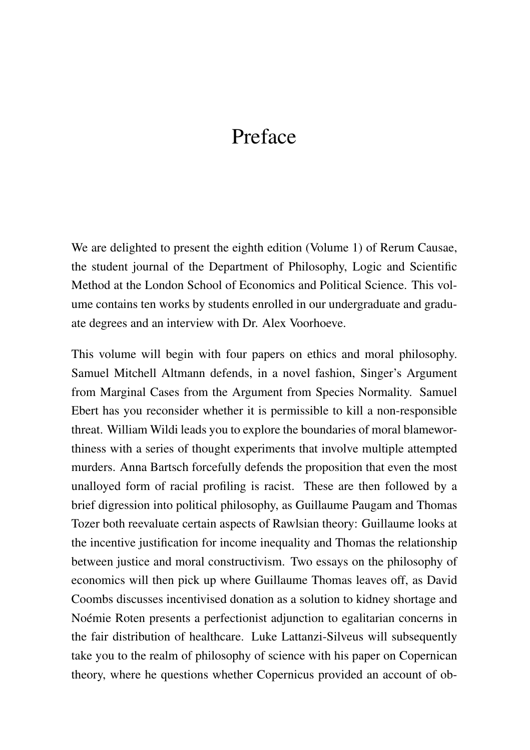## Preface

We are delighted to present the eighth edition (Volume 1) of Rerum Causae, the student journal of the Department of Philosophy, Logic and Scientific Method at the London School of Economics and Political Science. This volume contains ten works by students enrolled in our undergraduate and graduate degrees and an interview with Dr. Alex Voorhoeve.

This volume will begin with four papers on ethics and moral philosophy. Samuel Mitchell Altmann defends, in a novel fashion, Singer's Argument from Marginal Cases from the Argument from Species Normality. Samuel Ebert has you reconsider whether it is permissible to kill a non-responsible threat. William Wildi leads you to explore the boundaries of moral blameworthiness with a series of thought experiments that involve multiple attempted murders. Anna Bartsch forcefully defends the proposition that even the most unalloyed form of racial profiling is racist. These are then followed by a brief digression into political philosophy, as Guillaume Paugam and Thomas Tozer both reevaluate certain aspects of Rawlsian theory: Guillaume looks at the incentive justification for income inequality and Thomas the relationship between justice and moral constructivism. Two essays on the philosophy of economics will then pick up where Guillaume Thomas leaves off, as David Coombs discusses incentivised donation as a solution to kidney shortage and Noémie Roten presents a perfectionist adjunction to egalitarian concerns in the fair distribution of healthcare. Luke Lattanzi-Silveus will subsequently take you to the realm of philosophy of science with his paper on Copernican theory, where he questions whether Copernicus provided an account of ob